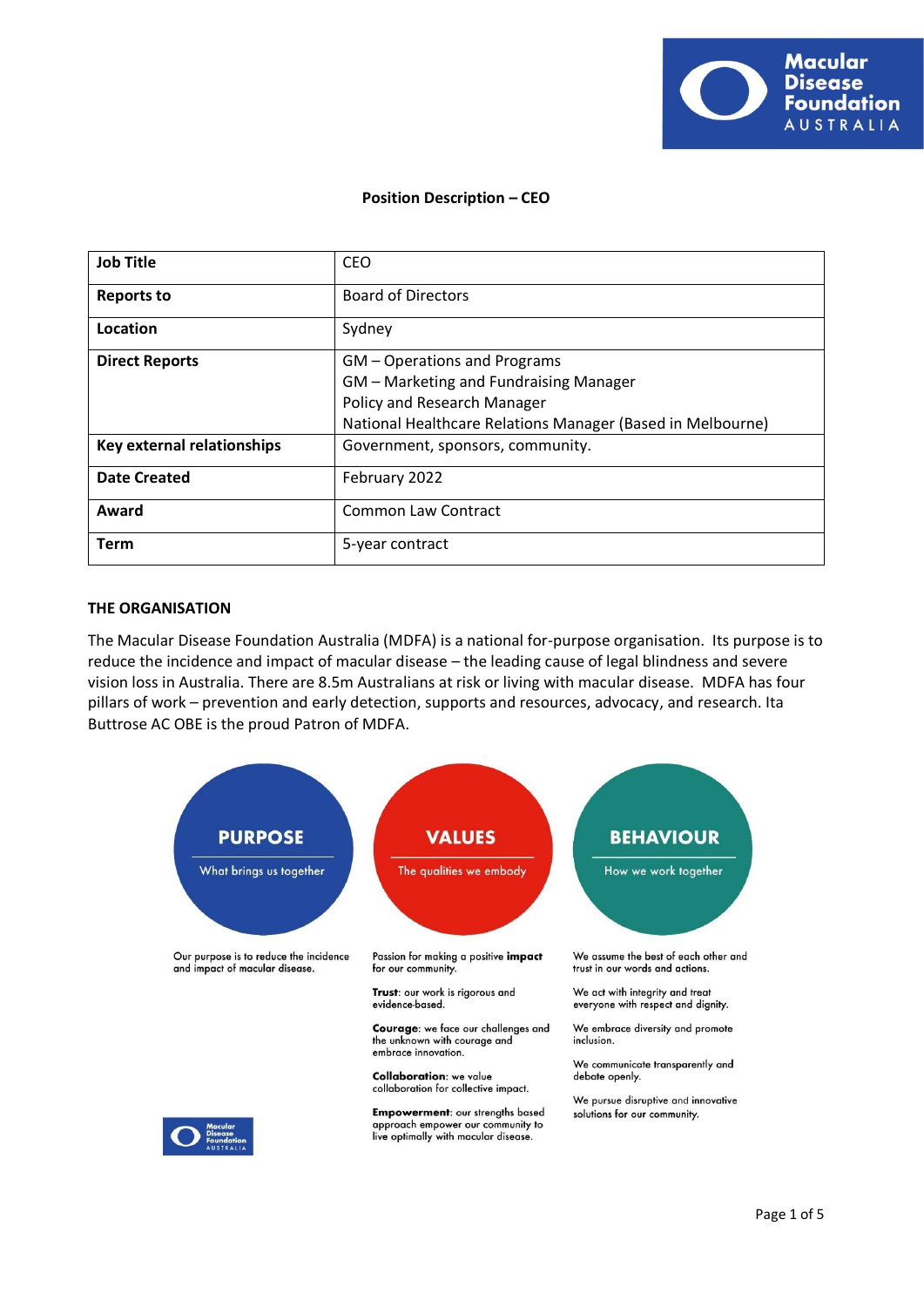

# **Position Description – CEO**

| <b>Job Title</b>           | <b>CEO</b>                                                 |
|----------------------------|------------------------------------------------------------|
| <b>Reports to</b>          | <b>Board of Directors</b>                                  |
| Location                   | Sydney                                                     |
| <b>Direct Reports</b>      | GM - Operations and Programs                               |
|                            | GM - Marketing and Fundraising Manager                     |
|                            | Policy and Research Manager                                |
|                            | National Healthcare Relations Manager (Based in Melbourne) |
| Key external relationships | Government, sponsors, community.                           |
| <b>Date Created</b>        | February 2022                                              |
| Award                      | <b>Common Law Contract</b>                                 |
| Term                       | 5-year contract                                            |

### **THE ORGANISATION**

The Macular Disease Foundation Australia (MDFA) is a national for-purpose organisation. Its purpose is to reduce the incidence and impact of macular disease – the leading cause of legal blindness and severe vision loss in Australia. There are 8.5m Australians at risk or living with macular disease. MDFA has four pillars of work – prevention and early detection, supports and resources, advocacy, and research. Ita Buttrose AC OBE is the proud Patron of MDFA.

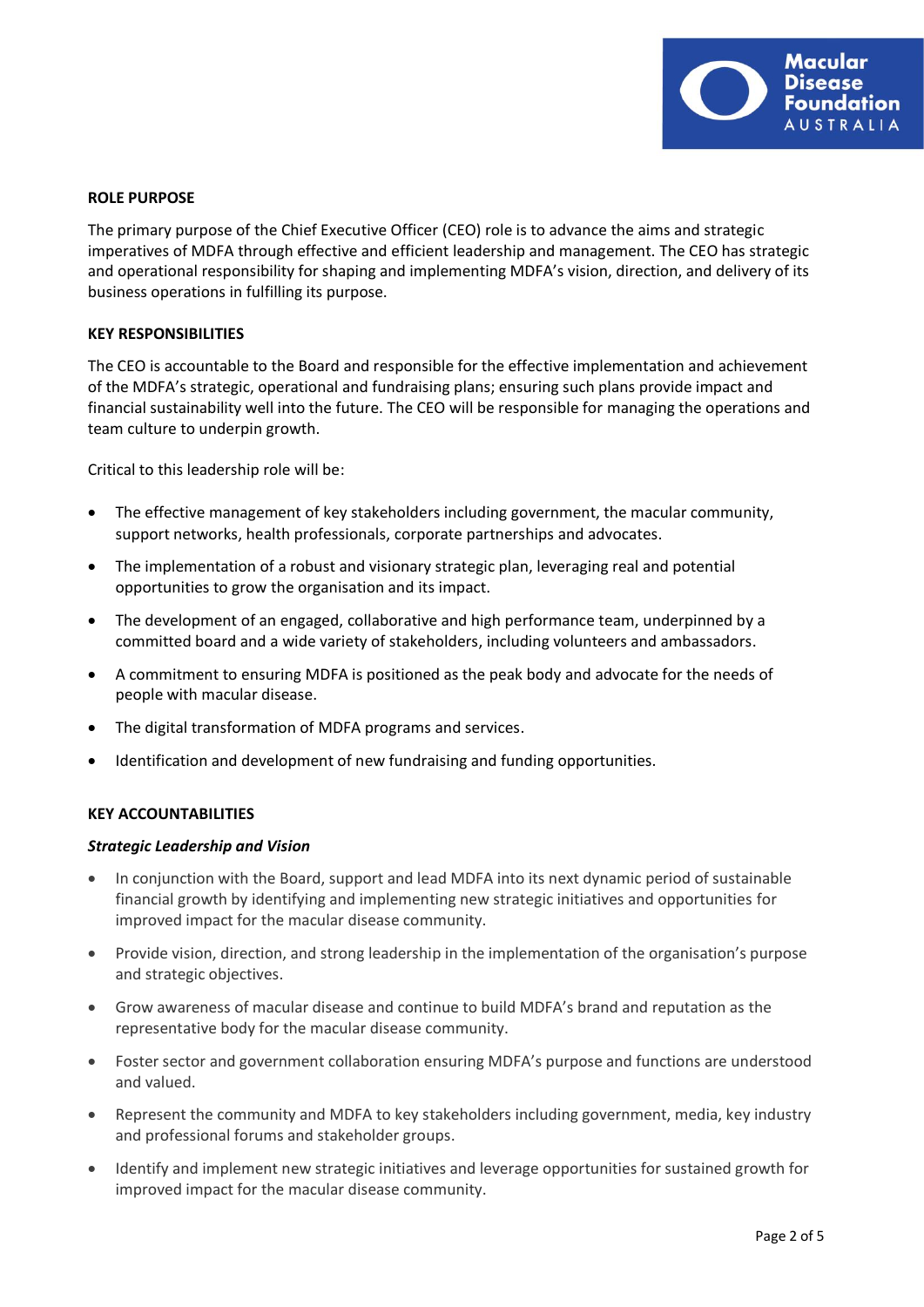

# **ROLE PURPOSE**

The primary purpose of the Chief Executive Officer (CEO) role is to advance the aims and strategic imperatives of MDFA through effective and efficient leadership and management. The CEO has strategic and operational responsibility for shaping and implementing MDFA's vision, direction, and delivery of its business operations in fulfilling its purpose.

### **KEY RESPONSIBILITIES**

The CEO is accountable to the Board and responsible for the effective implementation and achievement of the MDFA's strategic, operational and fundraising plans; ensuring such plans provide impact and financial sustainability well into the future. The CEO will be responsible for managing the operations and team culture to underpin growth.

Critical to this leadership role will be:

- The effective management of key stakeholders including government, the macular community, support networks, health professionals, corporate partnerships and advocates.
- The implementation of a robust and visionary strategic plan, leveraging real and potential opportunities to grow the organisation and its impact.
- The development of an engaged, collaborative and high performance team, underpinned by a committed board and a wide variety of stakeholders, including volunteers and ambassadors.
- A commitment to ensuring MDFA is positioned as the peak body and advocate for the needs of people with macular disease.
- The digital transformation of MDFA programs and services.
- Identification and development of new fundraising and funding opportunities.

### **KEY ACCOUNTABILITIES**

### *Strategic Leadership and Vision*

- In conjunction with the Board, support and lead MDFA into its next dynamic period of sustainable financial growth by identifying and implementing new strategic initiatives and opportunities for improved impact for the macular disease community.
- Provide vision, direction, and strong leadership in the implementation of the organisation's purpose and strategic objectives.
- Grow awareness of macular disease and continue to build MDFA's brand and reputation as the representative body for the macular disease community.
- Foster sector and government collaboration ensuring MDFA's purpose and functions are understood and valued.
- Represent the community and MDFA to key stakeholders including government, media, key industry and professional forums and stakeholder groups.
- Identify and implement new strategic initiatives and leverage opportunities for sustained growth for improved impact for the macular disease community.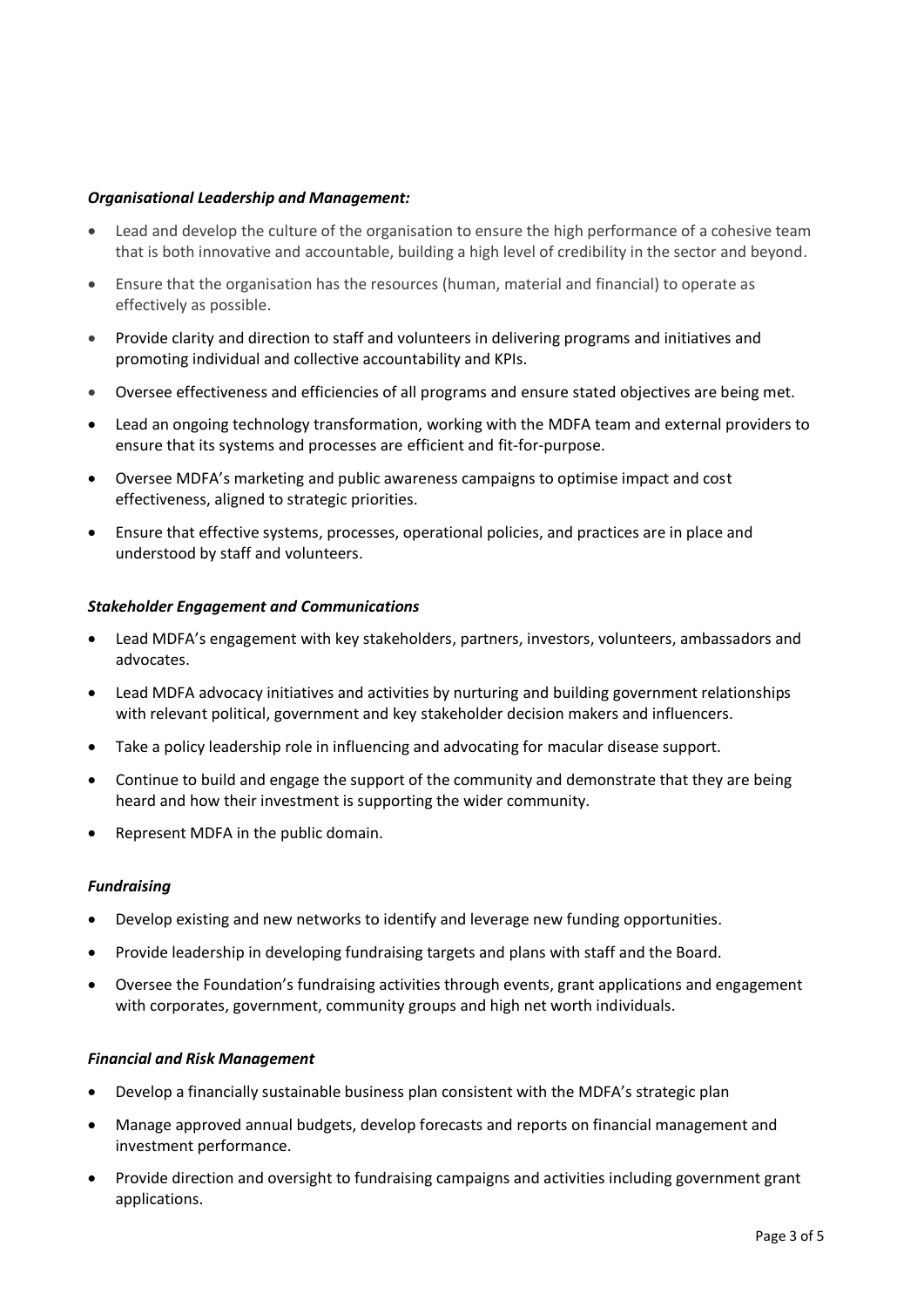# *Organisational Leadership and Management:*

- Lead and develop the culture of the organisation to ensure the high performance of a cohesive team that is both innovative and accountable, building a high level of credibility in the sector and beyond.
- Ensure that the organisation has the resources (human, material and financial) to operate as effectively as possible.
- Provide clarity and direction to staff and volunteers in delivering programs and initiatives and promoting individual and collective accountability and KPIs.
- Oversee effectiveness and efficiencies of all programs and ensure stated objectives are being met.
- Lead an ongoing technology transformation, working with the MDFA team and external providers to ensure that its systems and processes are efficient and fit-for-purpose.
- Oversee MDFA's marketing and public awareness campaigns to optimise impact and cost effectiveness, aligned to strategic priorities.
- Ensure that effective systems, processes, operational policies, and practices are in place and understood by staff and volunteers.

### *Stakeholder Engagement and Communications*

- Lead MDFA's engagement with key stakeholders, partners, investors, volunteers, ambassadors and advocates.
- Lead MDFA advocacy initiatives and activities by nurturing and building government relationships with relevant political, government and key stakeholder decision makers and influencers.
- Take a policy leadership role in influencing and advocating for macular disease support.
- Continue to build and engage the support of the community and demonstrate that they are being heard and how their investment is supporting the wider community.
- Represent MDFA in the public domain.

### *Fundraising*

- Develop existing and new networks to identify and leverage new funding opportunities.
- Provide leadership in developing fundraising targets and plans with staff and the Board.
- Oversee the Foundation's fundraising activities through events, grant applications and engagement with corporates, government, community groups and high net worth individuals.

### *Financial and Risk Management*

- Develop a financially sustainable business plan consistent with the MDFA's strategic plan
- Manage approved annual budgets, develop forecasts and reports on financial management and investment performance.
- Provide direction and oversight to fundraising campaigns and activities including government grant applications.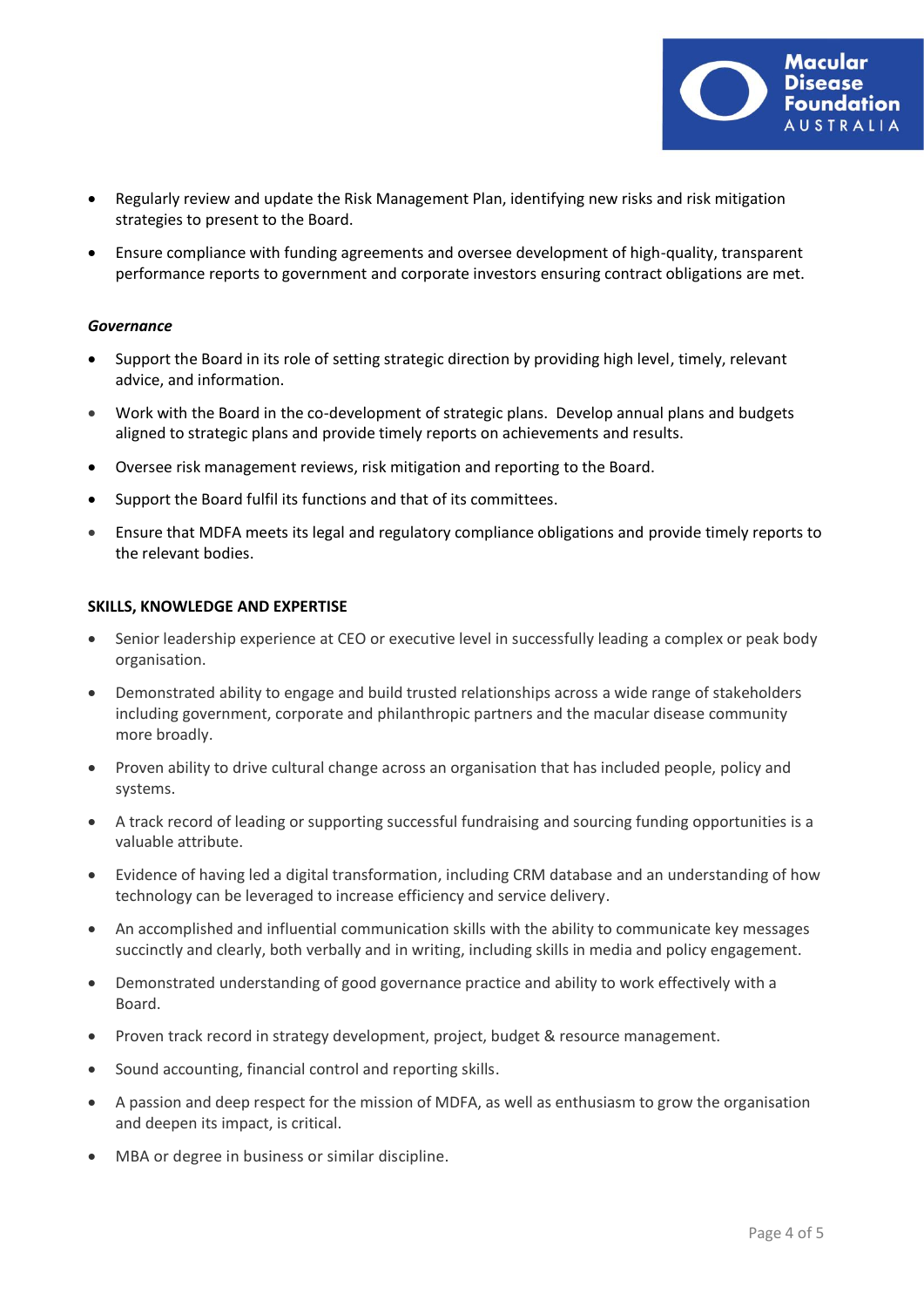

- Regularly review and update the Risk Management Plan, identifying new risks and risk mitigation strategies to present to the Board.
- Ensure compliance with funding agreements and oversee development of high-quality, transparent performance reports to government and corporate investors ensuring contract obligations are met.

### *Governance*

- Support the Board in its role of setting strategic direction by providing high level, timely, relevant advice, and information.
- Work with the Board in the co-development of strategic plans. Develop annual plans and budgets aligned to strategic plans and provide timely reports on achievements and results.
- Oversee risk management reviews, risk mitigation and reporting to the Board.
- Support the Board fulfil its functions and that of its committees.
- Ensure that MDFA meets its legal and regulatory compliance obligations and provide timely reports to the relevant bodies.

### **SKILLS, KNOWLEDGE AND EXPERTISE**

- Senior leadership experience at CEO or executive level in successfully leading a complex or peak body organisation.
- Demonstrated ability to engage and build trusted relationships across a wide range of stakeholders including government, corporate and philanthropic partners and the macular disease community more broadly.
- Proven ability to drive cultural change across an organisation that has included people, policy and systems.
- A track record of leading or supporting successful fundraising and sourcing funding opportunities is a valuable attribute.
- Evidence of having led a digital transformation, including CRM database and an understanding of how technology can be leveraged to increase efficiency and service delivery.
- An accomplished and influential communication skills with the ability to communicate key messages succinctly and clearly, both verbally and in writing, including skills in media and policy engagement.
- Demonstrated understanding of good governance practice and ability to work effectively with a Board.
- Proven track record in strategy development, project, budget & resource management.
- Sound accounting, financial control and reporting skills.
- A passion and deep respect for the mission of MDFA, as well as enthusiasm to grow the organisation and deepen its impact, is critical.
- MBA or degree in business or similar discipline.